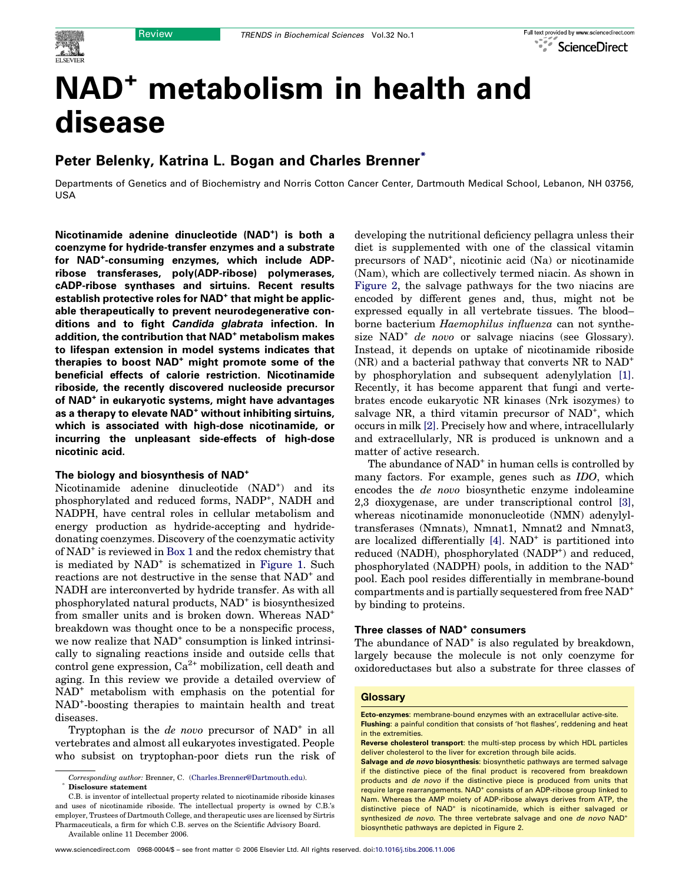# NAD<sup>+</sup> metabolism in health and disease

# Peter Belenky, Katrina L. Bogan and Charles Brenner<sup>\*</sup>

Departments of Genetics and of Biochemistry and Norris Cotton Cancer Center, Dartmouth Medical School, Lebanon, NH 03756, USA

Nicotinamide adenine dinucleotide (NAD<sup>+</sup>) is both a coenzyme for hydride-transfer enzymes and a substrate for NAD+ -consuming enzymes, which include ADPribose transferases, poly(ADP-ribose) polymerases, cADP-ribose synthases and sirtuins. Recent results establish protective roles for NAD<sup>+</sup> that might be applicable therapeutically to prevent neurodegenerative conditions and to fight Candida glabrata infection. In addition, the contribution that NAD<sup>+</sup> metabolism makes to lifespan extension in model systems indicates that therapies to boost NAD<sup>+</sup> might promote some of the beneficial effects of calorie restriction. Nicotinamide riboside, the recently discovered nucleoside precursor of NAD<sup>+</sup> in eukaryotic systems, might have advantages as a therapy to elevate NAD<sup>+</sup> without inhibiting sirtuins, which is associated with high-dose nicotinamide, or incurring the unpleasant side-effects of high-dose nicotinic acid.

#### The biology and biosynthesis of NAD<sup>+</sup>

Nicotinamide adenine dinucleotide (NAD<sup>+</sup>) and its phosphorylated and reduced forms, NADP<sup>+</sup>, NADH and NADPH, have central roles in cellular metabolism and energy production as hydride-accepting and hydridedonating coenzymes. Discovery of the coenzymatic activity of NAD<sup>+</sup> is reviewed in [Box 1](#page-1-0) and the redox chemistry that is mediated by NAD<sup>+</sup> is schematized in [Figure 1](#page-1-0). Such reactions are not destructive in the sense that  $NAD^+$  and NADH are interconverted by hydride transfer. As with all phosphorylated natural products, NAD<sup>+</sup> is biosynthesized from smaller units and is broken down. Whereas NAD<sup>+</sup> breakdown was thought once to be a nonspecific process, we now realize that  $NAD^+$  consumption is linked intrinsically to signaling reactions inside and outside cells that control gene expression,  $Ca^{2+}$  mobilization, cell death and aging. In this review we provide a detailed overview of NAD<sup>+</sup> metabolism with emphasis on the potential for NAD<sup>+</sup> -boosting therapies to maintain health and treat diseases.

Tryptophan is the *de novo* precursor of  $NAD^+$  in all vertebrates and almost all eukaryotes investigated. People who subsist on tryptophan-poor diets run the risk of

C.B. is inventor of intellectual property related to nicotinamide riboside kinases and uses of nicotinamide riboside. The intellectual property is owned by C.B.'s employer, Trustees of Dartmouth College, and therapeutic uses are licensed by Sirtris Pharmaceuticals, a firm for which C.B. serves on the Scientific Advisory Board.

diet is supplemented with one of the classical vitamin precursors of NAD<sup>+</sup>, nicotinic acid (Na) or nicotinamide (Nam), which are collectively termed niacin. As shown in [Figure 2](#page-2-0), the salvage pathways for the two niacins are encoded by different genes and, thus, might not be expressed equally in all vertebrate tissues. The blood– borne bacterium Haemophilus influenza can not synthesize  $NAD^+$  *de novo* or salvage niacins (see Glossary). Instead, it depends on uptake of nicotinamide riboside (NR) and a bacterial pathway that converts NR to NAD<sup>+</sup> by phosphorylation and subsequent adenylylation [\[1\]](#page-6-0). Recently, it has become apparent that fungi and vertebrates encode eukaryotic NR kinases (Nrk isozymes) to salvage NR, a third vitamin precursor of NAD<sup>+</sup>, which occurs in milk [\[2\].](#page-6-0) Precisely how and where, intracellularly and extracellularly, NR is produced is unknown and a matter of active research.

developing the nutritional deficiency pellagra unless their

The abundance of NAD<sup>+</sup> in human cells is controlled by many factors. For example, genes such as IDO, which encodes the de novo biosynthetic enzyme indoleamine 2,3 dioxygenase, are under transcriptional control [\[3\]](#page-6-0), whereas nicotinamide mononucleotide (NMN) adenylyltransferases (Nmnats), Nmnat1, Nmnat2 and Nmnat3, are localized differentially  $[4]$ . NAD<sup>+</sup> is partitioned into reduced (NADH), phosphorylated (NADP<sup>+</sup>) and reduced, phosphorylated (NADPH) pools, in addition to the NAD<sup>+</sup> pool. Each pool resides differentially in membrane-bound compartments and is partially sequestered from free NAD<sup>+</sup> by binding to proteins.

### Three classes of NAD<sup>+</sup> consumers

The abundance of  $NAD<sup>+</sup>$  is also regulated by breakdown, largely because the molecule is not only coenzyme for oxidoreductases but also a substrate for three classes of

#### **Glossary**

Salvage and de novo biosynthesis: biosynthetic pathways are termed salvage if the distinctive piece of the final product is recovered from breakdown products and de novo if the distinctive piece is produced from units that require large rearrangements. NAD<sup>+</sup> consists of an ADP-ribose group linked to Nam. Whereas the AMP moiety of ADP-ribose always derives from ATP, the distinctive piece of NAD<sup>+</sup> is nicotinamide, which is either salvaged or synthesized *de novo*. The three vertebrate salvage and one *de novo* NAD<sup>+</sup> biosynthetic pathways are depicted in Figure 2.

Corresponding author: Brenner, C. [\(Charles.Brenner@Dartmouth.edu\)](mailto:Charles.Brenner@Dartmouth.edu). Disclosure statement

Available online 11 December 2006.

Ecto-enzymes: membrane-bound enzymes with an extracellular active-site. Flushing: a painful condition that consists of 'hot flashes', reddening and heat in the extremities.

Reverse cholesterol transport: the multi-step process by which HDL particles deliver cholesterol to the liver for excretion through bile acids.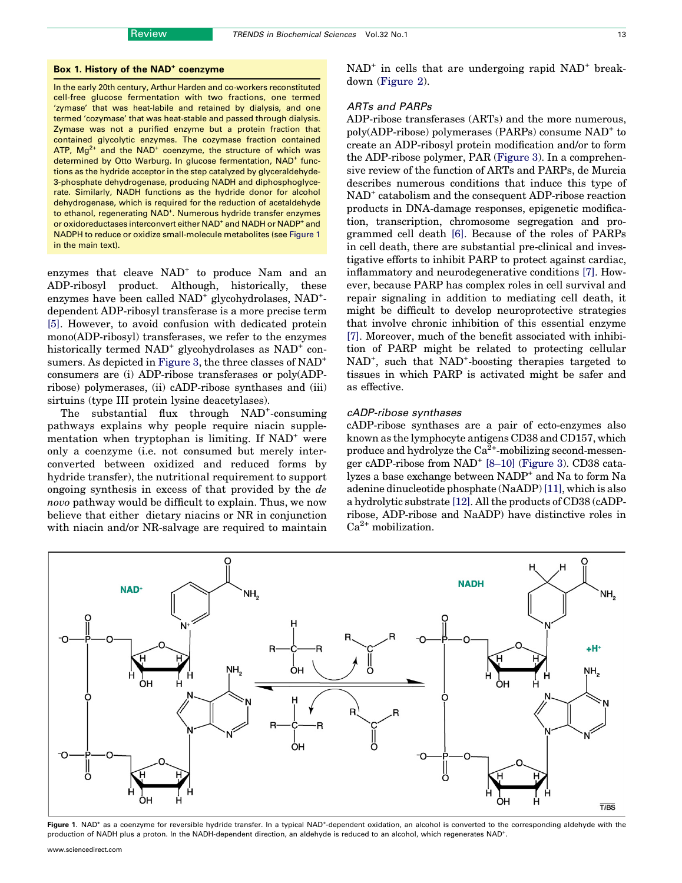#### <span id="page-1-0"></span>Box 1. History of the NAD<sup>+</sup> coenzyme

In the early 20th century, Arthur Harden and co-workers reconstituted cell-free glucose fermentation with two fractions, one termed 'zymase' that was heat-labile and retained by dialysis, and one termed 'cozymase' that was heat-stable and passed through dialysis. Zymase was not a purified enzyme but a protein fraction that contained glycolytic enzymes. The cozymase fraction contained ATP,  $Mg^{2+}$  and the NAD<sup>+</sup> coenzyme, the structure of which was determined by Otto Warburg. In glucose fermentation, NAD<sup>+</sup> functions as the hydride acceptor in the step catalyzed by glyceraldehyde-3-phosphate dehydrogenase, producing NADH and diphosphoglycerate. Similarly, NADH functions as the hydride donor for alcohol dehydrogenase, which is required for the reduction of acetaldehyde to ethanol, regenerating NAD<sup>+</sup>. Numerous hydride transfer enzymes or oxidoreductases interconvert either NAD<sup>+</sup> and NADH or NADP<sup>+</sup> and NADPH to reduce or oxidize small-molecule metabolites (see Figure 1 in the main text).

enzymes that cleave NAD<sup>+</sup> to produce Nam and an ADP-ribosyl product. Although, historically, these enzymes have been called NAD<sup>+</sup> glycohydrolases, NAD<sup>+</sup>dependent ADP-ribosyl transferase is a more precise term [\[5\].](#page-6-0) However, to avoid confusion with dedicated protein mono(ADP-ribosyl) transferases, we refer to the enzymes historically termed  $NAD^+$  glycohydrolases as  $NAD^+$  con-sumers. As depicted in [Figure 3,](#page-3-0) the three classes of NAD<sup>+</sup> consumers are (i) ADP-ribose transferases or poly(ADPribose) polymerases, (ii) cADP-ribose synthases and (iii) sirtuins (type III protein lysine deacetylases).

The substantial flux through NAD<sup>+</sup>-consuming pathways explains why people require niacin supplementation when tryptophan is limiting. If  $NAD^+$  were only a coenzyme (i.e. not consumed but merely interconverted between oxidized and reduced forms by hydride transfer), the nutritional requirement to support ongoing synthesis in excess of that provided by the de novo pathway would be difficult to explain. Thus, we now believe that either dietary niacins or NR in conjunction with niacin and/or NR-salvage are required to maintain  $NAD^+$  in cells that are undergoing rapid  $NAD^+$  breakdown ([Figure 2](#page-2-0)).

# ARTs and PARPs

ADP-ribose transferases (ARTs) and the more numerous, poly(ADP-ribose) polymerases (PARPs) consume NAD<sup>+</sup> to create an ADP-ribosyl protein modification and/or to form the ADP-ribose polymer, PAR ([Figure 3](#page-3-0)). In a comprehensive review of the function of ARTs and PARPs, de Murcia describes numerous conditions that induce this type of NAD<sup>+</sup> catabolism and the consequent ADP-ribose reaction products in DNA-damage responses, epigenetic modification, transcription, chromosome segregation and programmed cell death [\[6\].](#page-6-0) Because of the roles of PARPs in cell death, there are substantial pre-clinical and investigative efforts to inhibit PARP to protect against cardiac, inflammatory and neurodegenerative conditions [\[7\]](#page-6-0). However, because PARP has complex roles in cell survival and repair signaling in addition to mediating cell death, it might be difficult to develop neuroprotective strategies that involve chronic inhibition of this essential enzyme [\[7\].](#page-6-0) Moreover, much of the benefit associated with inhibition of PARP might be related to protecting cellular NAD<sup>+</sup>, such that NAD<sup>+</sup>-boosting therapies targeted to tissues in which PARP is activated might be safer and as effective.

# cADP-ribose synthases

cADP-ribose synthases are a pair of ecto-enzymes also known as the lymphocyte antigens CD38 and CD157, which produce and hydrolyze the  $Ca^{2+}$ -mobilizing second-messen-ger cADP-ribose from NAD<sup>+</sup> [8-10] [\(Figure 3\)](#page-3-0). CD38 catalyzes a base exchange between NADP<sup>+</sup> and Na to form Na adenine dinucleotide phosphate (NaADP) [\[11\],](#page-6-0) which is also a hydrolytic substrate [\[12\]](#page-6-0). All the products of CD38 (cADPribose, ADP-ribose and NaADP) have distinctive roles in  $Ca^{2+}$  mobilization.



Figure 1. NAD<sup>+</sup> as a coenzyme for reversible hydride transfer. In a typical NAD<sup>+</sup>-dependent oxidation, an alcohol is converted to the corresponding aldehyde with the production of NADH plus a proton. In the NADH-dependent direction, an aldehyde is reduced to an alcohol, which regenerates NAD+ .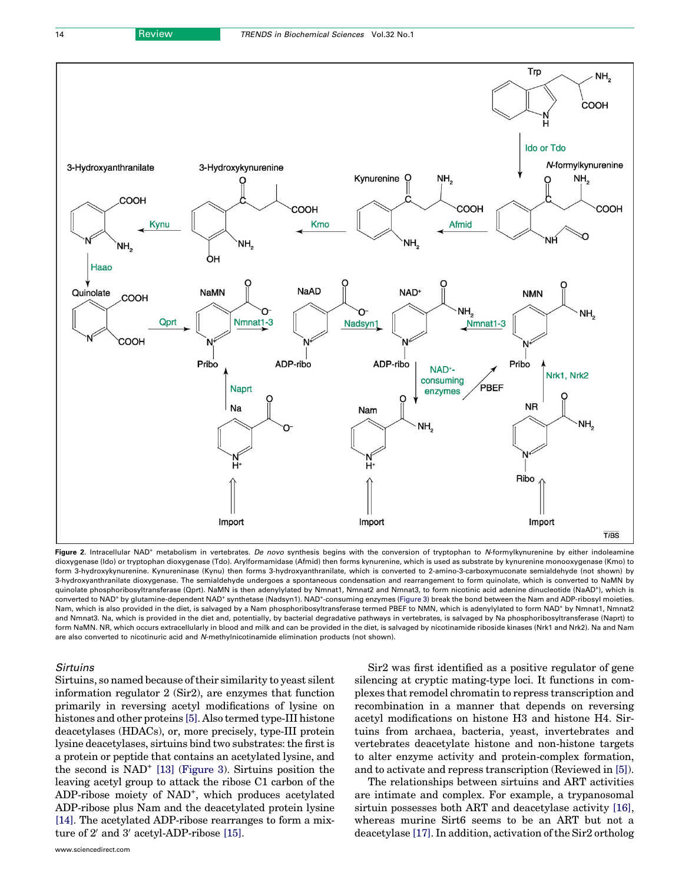<span id="page-2-0"></span>

Figure 2. Intracellular NAD<sup>+</sup> metabolism in vertebrates. De novo synthesis begins with the conversion of tryptophan to N-formylkynurenine by either indoleamine dioxygenase (Ido) or tryptophan dioxygenase (Tdo). Arylformamidase (Afmid) then forms kynurenine, which is used as substrate by kynurenine monooxygenase (Kmo) to form 3-hydroxykynurenine. Kynureninase (Kynu) then forms 3-hydroxyanthranilate, which is converted to 2-amino-3-carboxymuconate semialdehyde (not shown) by 3-hydroxyanthranilate dioxygenase. The semialdehyde undergoes a spontaneous condensation and rearrangement to form quinolate, which is converted to NaMN by quinolate phosphoribosyltransferase (Qprt). NaMN is then adenylylated by Nmnat1, Nmnat2 and Nmnat3, to form nicotinic acid adenine dinucleotide (NaAD\*), which is converted to NAD<sup>+</sup> by glutamine-dependent NAD<sup>+</sup> synthetase (Nadsyn1). NAD<sup>+</sup>-consuming enzymes [\(Figure 3\)](#page-3-0) break the bond between the Nam and ADP-ribosyl moieties. Nam, which is also provided in the diet, is salvaged by a Nam phosphoribosyltransferase termed PBEF to NMN, which is adenylylated to form NAD<sup>+</sup> by Nmnat1, Nmnat2 and Nmnat3. Na, which is provided in the diet and, potentially, by bacterial degradative pathways in vertebrates, is salvaged by Na phosphoribosyltransferase (Naprt) to form NaMN. NR, which occurs extracellularly in blood and milk and can be provided in the diet, is salvaged by nicotinamide riboside kinases (Nrk1 and Nrk2). Na and Nam are also converted to nicotinuric acid and N-methylnicotinamide elimination products (not shown).

#### Sirtuins

Sirtuins, so named because of their similarity to yeast silent information regulator 2 (Sir2), are enzymes that function primarily in reversing acetyl modifications of lysine on histones and other proteins [\[5\].](#page-6-0) Also termed type-III histone deacetylases (HDACs), or, more precisely, type-III protein lysine deacetylases, sirtuins bind two substrates: the first is a protein or peptide that contains an acetylated lysine, and the second is NAD<sup>+</sup> [\[13\]](#page-6-0) [\(Figure 3\)](#page-3-0). Sirtuins position the leaving acetyl group to attack the ribose C1 carbon of the ADP-ribose moiety of NAD<sup>+</sup>, which produces acetylated ADP-ribose plus Nam and the deacetylated protein lysine [\[14\].](#page-6-0) The acetylated ADP-ribose rearranges to form a mixture of  $2'$  and  $3'$  acetyl-ADP-ribose [\[15\]](#page-6-0).

www.sciencedirect.com

Sir2 was first identified as a positive regulator of gene silencing at cryptic mating-type loci. It functions in complexes that remodel chromatin to repress transcription and recombination in a manner that depends on reversing acetyl modifications on histone H3 and histone H4. Sirtuins from archaea, bacteria, yeast, invertebrates and vertebrates deacetylate histone and non-histone targets to alter enzyme activity and protein-complex formation, and to activate and repress transcription (Reviewed in [\[5\]](#page-6-0)).

The relationships between sirtuins and ART activities are intimate and complex. For example, a trypanosomal sirtuin possesses both ART and deacetylase activity [\[16\]](#page-6-0), whereas murine Sirt6 seems to be an ART but not a deacetylase [\[17\]](#page-6-0). In addition, activation of the Sir2 ortholog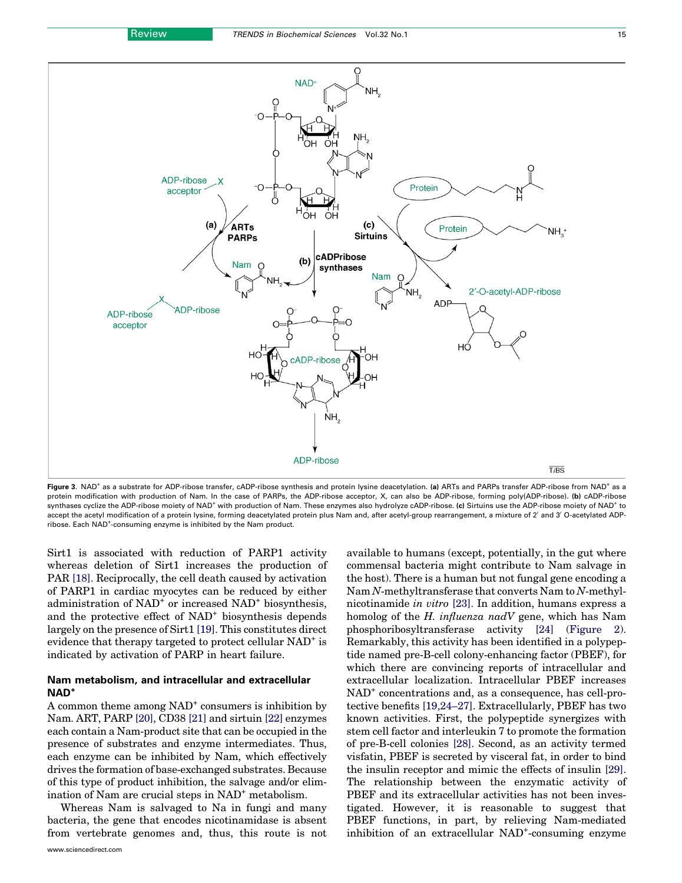<span id="page-3-0"></span>

Figure 3. NAD<sup>+</sup> as a substrate for ADP-ribose transfer, cADP-ribose synthesis and protein lysine deacetylation. (a) ARTs and PARPs transfer ADP-ribose from NAD<sup>+</sup> as a protein modification with production of Nam. In the case of PARPs, the ADP-ribose acceptor, X, can also be ADP-ribose, forming poly(ADP-ribose). (b) cADP-ribose synthases cyclize the ADP-ribose moiety of NAD<sup>+</sup> with production of Nam. These enzymes also hydrolyze cADP-ribose. (c) Sirtuins use the ADP-ribose moiety of NAD<sup>+</sup> to accept the acetyl modification of a protein lysine, forming deacetylated protein plus Nam and, after acetyl-group rearrangement, a mixture of 2' and 3' O-acetylated ADPribose. Each NAD<sup>+</sup>-consuming enzyme is inhibited by the Nam product.

Sirt1 is associated with reduction of PARP1 activity whereas deletion of Sirt1 increases the production of PAR [\[18\]](#page-6-0). Reciprocally, the cell death caused by activation of PARP1 in cardiac myocytes can be reduced by either administration of NAD<sup>+</sup> or increased NAD<sup>+</sup> biosynthesis, and the protective effect of NAD<sup>+</sup> biosynthesis depends largely on the presence of Sirt1 [\[19\]](#page-6-0). This constitutes direct evidence that therapy targeted to protect cellular NAD<sup>+</sup> is indicated by activation of PARP in heart failure.

# Nam metabolism, and intracellular and extracellular NAD+

A common theme among  $NAD^+$  consumers is inhibition by Nam. ART, PARP [\[20\],](#page-7-0) CD38 [\[21\]](#page-7-0) and sirtuin [\[22\]](#page-7-0) enzymes each contain a Nam-product site that can be occupied in the presence of substrates and enzyme intermediates. Thus, each enzyme can be inhibited by Nam, which effectively drives the formation of base-exchanged substrates. Because of this type of product inhibition, the salvage and/or elimination of Nam are crucial steps in NAD<sup>+</sup> metabolism.

Whereas Nam is salvaged to Na in fungi and many bacteria, the gene that encodes nicotinamidase is absent from vertebrate genomes and, thus, this route is not

available to humans (except, potentially, in the gut where commensal bacteria might contribute to Nam salvage in the host). There is a human but not fungal gene encoding a Nam N-methyltransferase that converts Nam to N-methylnicotinamide in vitro [\[23\].](#page-7-0) In addition, humans express a homolog of the H. influenza nadV gene, which has Nam phosphoribosyltransferase activity [\[24\]](#page-7-0) ([Figure 2\)](#page-2-0). Remarkably, this activity has been identified in a polypeptide named pre-B-cell colony-enhancing factor (PBEF), for which there are convincing reports of intracellular and extracellular localization. Intracellular PBEF increases NAD<sup>+</sup> concentrations and, as a consequence, has cell-protective benefits [\[19,24–27\].](#page-6-0) Extracellularly, PBEF has two known activities. First, the polypeptide synergizes with stem cell factor and interleukin 7 to promote the formation of pre-B-cell colonies [\[28\].](#page-7-0) Second, as an activity termed visfatin, PBEF is secreted by visceral fat, in order to bind the insulin receptor and mimic the effects of insulin [\[29\]](#page-7-0). The relationship between the enzymatic activity of PBEF and its extracellular activities has not been investigated. However, it is reasonable to suggest that PBEF functions, in part, by relieving Nam-mediated inhibition of an extracellular NAD<sup>+</sup>-consuming enzyme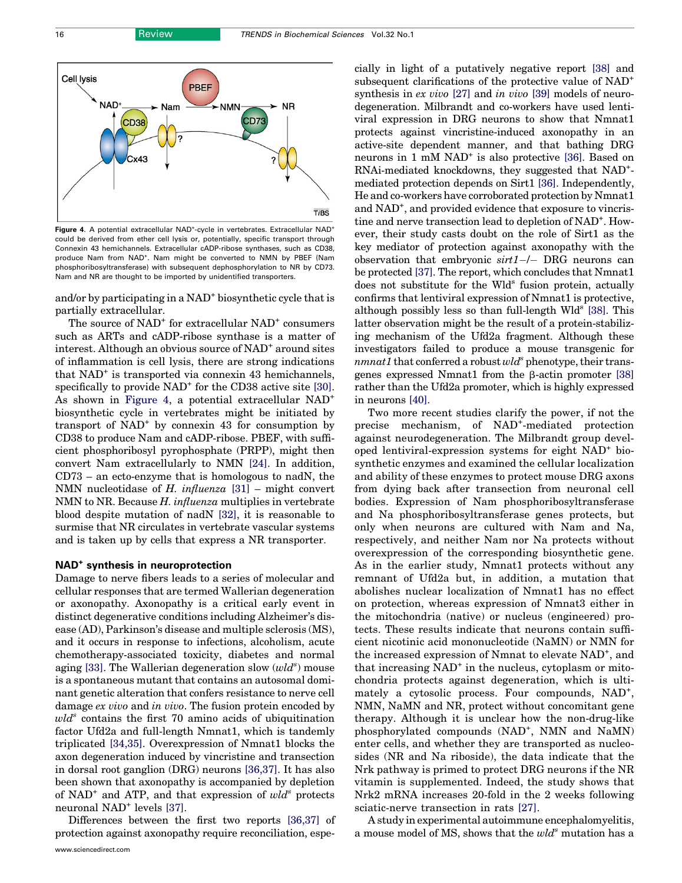

Figure 4. A potential extracellular NAD<sup>+</sup>-cycle in vertebrates. Extracellular NAD<sup>+</sup> could be derived from ether cell lysis or, potentially, specific transport through Connexin 43 hemichannels. Extracellular cADP-ribose synthases, such as CD38, produce Nam from NAD<sup>+</sup>. Nam might be converted to NMN by PBEF (Nam phosphoribosyltransferase) with subsequent dephosphorylation to NR by CD73. Nam and NR are thought to be imported by unidentified transporters.

and/or by participating in a NAD<sup>+</sup> biosynthetic cycle that is partially extracellular.

The source of NAD<sup>+</sup> for extracellular NAD<sup>+</sup> consumers such as ARTs and cADP-ribose synthase is a matter of interest. Although an obvious source of NAD<sup>+</sup> around sites of inflammation is cell lysis, there are strong indications that NAD<sup>+</sup> is transported via connexin 43 hemichannels, specifically to provide  $NAD<sup>+</sup>$  for the CD38 active site [\[30\]](#page-7-0). As shown in Figure 4, a potential extracellular NAD<sup>+</sup> biosynthetic cycle in vertebrates might be initiated by transport of  $NAD<sup>+</sup>$  by connexin 43 for consumption by CD38 to produce Nam and cADP-ribose. PBEF, with sufficient phosphoribosyl pyrophosphate (PRPP), might then convert Nam extracellularly to NMN [\[24\]](#page-7-0). In addition, CD73 – an ecto-enzyme that is homologous to nadN, the NMN nucleotidase of H. influenza  $[31]$  – might convert NMN to NR. Because H. influenza multiplies in vertebrate blood despite mutation of nadN [\[32\],](#page-7-0) it is reasonable to surmise that NR circulates in vertebrate vascular systems and is taken up by cells that express a NR transporter.

#### NAD<sup>+</sup> synthesis in neuroprotection

Damage to nerve fibers leads to a series of molecular and cellular responses that are termed Wallerian degeneration or axonopathy. Axonopathy is a critical early event in distinct degenerative conditions including Alzheimer's disease (AD), Parkinson's disease and multiple sclerosis (MS), and it occurs in response to infections, alcoholism, acute chemotherapy-associated toxicity, diabetes and normal aging [\[33\].](#page-7-0) The Wallerian degeneration slow  $(wld^s)$  mouse is a spontaneous mutant that contains an autosomal dominant genetic alteration that confers resistance to nerve cell damage *ex vivo* and *in vivo*. The fusion protein encoded by  $wld^s$  contains the first 70 amino acids of ubiquitination factor Ufd2a and full-length Nmnat1, which is tandemly triplicated [\[34,35\]](#page-7-0). Overexpression of Nmnat1 blocks the axon degeneration induced by vincristine and transection in dorsal root ganglion (DRG) neurons [\[36,37\]](#page-7-0). It has also been shown that axonopathy is accompanied by depletion of NAD<sup>+</sup> and ATP, and that expression of  $wld^s$  protects neuronal NAD<sup>+</sup> levels [\[37\]](#page-7-0).

Differences between the first two reports [\[36,37\]](#page-7-0) of protection against axonopathy require reconciliation, especially in light of a putatively negative report [\[38\]](#page-7-0) and subsequent clarifications of the protective value of NAD<sup>+</sup> synthesis in *ex vivo* [\[27\]](#page-7-0) and *in vivo* [\[39\]](#page-7-0) models of neurodegeneration. Milbrandt and co-workers have used lentiviral expression in DRG neurons to show that Nmnat1 protects against vincristine-induced axonopathy in an active-site dependent manner, and that bathing DRG neurons in  $1 \text{ mM } \text{NAD}^+$  is also protective [\[36\]](#page-7-0). Based on RNAi-mediated knockdowns, they suggested that NAD+ mediated protection depends on Sirt1 [\[36\].](#page-7-0) Independently, He and co-workers have corroborated protection by Nmnat1 and NAD<sup>+</sup>, and provided evidence that exposure to vincristine and nerve transection lead to depletion of NAD<sup>+</sup>. However, their study casts doubt on the role of Sirt1 as the key mediator of protection against axonopathy with the observation that embryonic  $sirt1$ -/- DRG neurons can be protected [\[37\].](#page-7-0) The report, which concludes that Nmnat1 does not substitute for the Wld<sup>s</sup> fusion protein, actually confirms that lentiviral expression of Nmnat1 is protective, although possibly less so than full-length  $Wld^s$  [\[38\]](#page-7-0). This latter observation might be the result of a protein-stabilizing mechanism of the Ufd2a fragment. Although these investigators failed to produce a mouse transgenic for  $nnmat1$  that conferred a robust  $wld^s$  phenotype, their transgenes expressed Nmnat1 from the  $\beta$ -actin promoter [\[38\]](#page-7-0) rather than the Ufd2a promoter, which is highly expressed in neurons [\[40\].](#page-7-0)

Two more recent studies clarify the power, if not the precise mechanism, of NAD<sup>+</sup>-mediated protection against neurodegeneration. The Milbrandt group developed lentiviral-expression systems for eight NAD<sup>+</sup> biosynthetic enzymes and examined the cellular localization and ability of these enzymes to protect mouse DRG axons from dying back after transection from neuronal cell bodies. Expression of Nam phosphoribosyltransferase and Na phosphoribosyltransferase genes protects, but only when neurons are cultured with Nam and Na, respectively, and neither Nam nor Na protects without overexpression of the corresponding biosynthetic gene. As in the earlier study, Nmnat1 protects without any remnant of Ufd2a but, in addition, a mutation that abolishes nuclear localization of Nmnat1 has no effect on protection, whereas expression of Nmnat3 either in the mitochondria (native) or nucleus (engineered) protects. These results indicate that neurons contain sufficient nicotinic acid mononucleotide (NaMN) or NMN for the increased expression of Nmnat to elevate NAD<sup>+</sup>, and that increasing  $NAD^+$  in the nucleus, cytoplasm or mitochondria protects against degeneration, which is ultimately a cytosolic process. Four compounds, NAD<sup>+</sup>, NMN, NaMN and NR, protect without concomitant gene therapy. Although it is unclear how the non-drug-like phosphorylated compounds (NAD<sup>+</sup>, NMN and NaMN) enter cells, and whether they are transported as nucleosides (NR and Na riboside), the data indicate that the Nrk pathway is primed to protect DRG neurons if the NR vitamin is supplemented. Indeed, the study shows that Nrk2 mRNA increases 20-fold in the 2 weeks following sciatic-nerve transection in rats [\[27\]](#page-7-0).

A study in experimental autoimmune encephalomyelitis, a mouse model of MS, shows that the  $wld^s$  mutation has a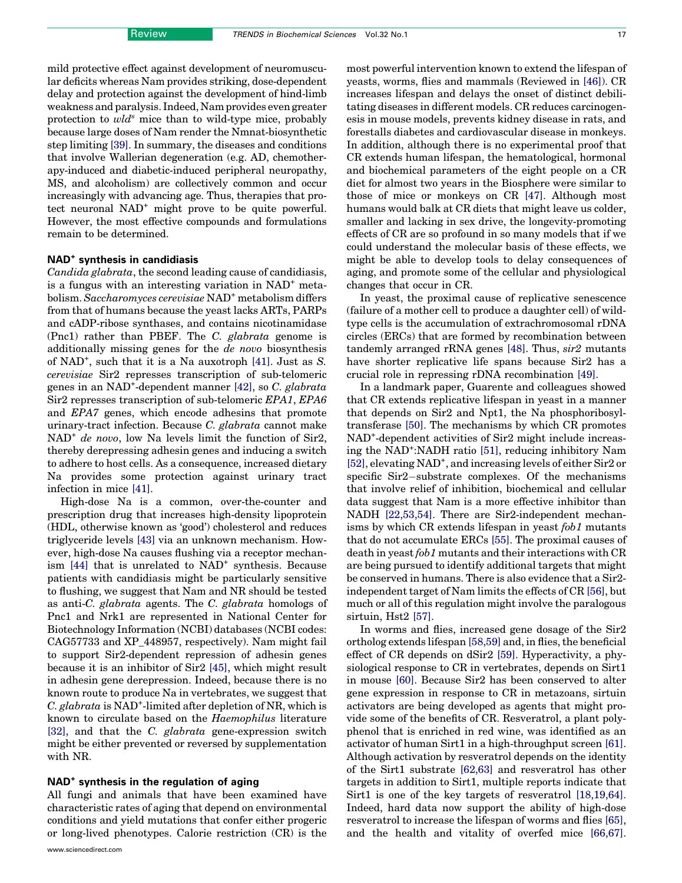mild protective effect against development of neuromuscular deficits whereas Nam provides striking, dose-dependent delay and protection against the development of hind-limb weakness and paralysis. Indeed, Nam provides even greater protection to  $wld^s$  mice than to wild-type mice, probably because large doses of Nam render the Nmnat-biosynthetic step limiting [\[39\]](#page-7-0). In summary, the diseases and conditions that involve Wallerian degeneration (e.g. AD, chemotherapy-induced and diabetic-induced peripheral neuropathy, MS, and alcoholism) are collectively common and occur increasingly with advancing age. Thus, therapies that protect neuronal NAD<sup>+</sup> might prove to be quite powerful. However, the most effective compounds and formulations remain to be determined.

# NAD+ synthesis in candidiasis

Candida glabrata, the second leading cause of candidiasis, is a fungus with an interesting variation in  $NAD^+$  metabolism. Saccharomyces cerevisiae NAD<sup>+</sup> metabolism differs from that of humans because the yeast lacks ARTs, PARPs and cADP-ribose synthases, and contains nicotinamidase (Pnc1) rather than PBEF. The C. glabrata genome is additionally missing genes for the de novo biosynthesis of NAD<sup>+</sup>, such that it is a Na auxotroph [\[41\].](#page-7-0) Just as S. cerevisiae Sir2 represses transcription of sub-telomeric genes in an NAD<sup>+</sup>-dependent manner [\[42\],](#page-7-0) so C. glabrata Sir2 represses transcription of sub-telomeric EPA1, EPA6 and EPA7 genes, which encode adhesins that promote urinary-tract infection. Because C. glabrata cannot make NAD<sup>+</sup> de novo, low Na levels limit the function of Sir2, thereby derepressing adhesin genes and inducing a switch to adhere to host cells. As a consequence, increased dietary Na provides some protection against urinary tract infection in mice [\[41\]](#page-7-0).

High-dose Na is a common, over-the-counter and prescription drug that increases high-density lipoprotein (HDL, otherwise known as 'good') cholesterol and reduces triglyceride levels [\[43\]](#page-7-0) via an unknown mechanism. However, high-dose Na causes flushing via a receptor mechanism  $[44]$  that is unrelated to  $NAD^+$  synthesis. Because patients with candidiasis might be particularly sensitive to flushing, we suggest that Nam and NR should be tested as anti-C. glabrata agents. The C. glabrata homologs of Pnc1 and Nrk1 are represented in National Center for Biotechnology Information (NCBI) databases (NCBI codes: CAG57733 and XP\_448957, respectively). Nam might fail to support Sir2-dependent repression of adhesin genes because it is an inhibitor of Sir2 [\[45\]](#page-7-0), which might result in adhesin gene derepression. Indeed, because there is no known route to produce Na in vertebrates, we suggest that C. glabrata is  $NAD^+$ -limited after depletion of NR, which is known to circulate based on the Haemophilus literature [\[32\]](#page-7-0), and that the C. glabrata gene-expression switch might be either prevented or reversed by supplementation with NR.

#### NAD<sup>+</sup> synthesis in the regulation of aging

All fungi and animals that have been examined have characteristic rates of aging that depend on environmental conditions and yield mutations that confer either progeric or long-lived phenotypes. Calorie restriction (CR) is the most powerful intervention known to extend the lifespan of yeasts, worms, flies and mammals (Reviewed in [\[46\]](#page-7-0)). CR increases lifespan and delays the onset of distinct debilitating diseases in different models. CR reduces carcinogenesis in mouse models, prevents kidney disease in rats, and forestalls diabetes and cardiovascular disease in monkeys. In addition, although there is no experimental proof that CR extends human lifespan, the hematological, hormonal and biochemical parameters of the eight people on a CR diet for almost two years in the Biosphere were similar to those of mice or monkeys on CR [\[47\].](#page-7-0) Although most humans would balk at CR diets that might leave us colder, smaller and lacking in sex drive, the longevity-promoting effects of CR are so profound in so many models that if we could understand the molecular basis of these effects, we might be able to develop tools to delay consequences of aging, and promote some of the cellular and physiological changes that occur in CR.

In yeast, the proximal cause of replicative senescence (failure of a mother cell to produce a daughter cell) of wildtype cells is the accumulation of extrachromosomal rDNA circles (ERCs) that are formed by recombination between tandemly arranged rRNA genes [\[48\]](#page-7-0). Thus, sir2 mutants have shorter replicative life spans because Sir2 has a crucial role in repressing rDNA recombination [\[49\]](#page-7-0).

In a landmark paper, Guarente and colleagues showed that CR extends replicative lifespan in yeast in a manner that depends on Sir2 and Npt1, the Na phosphoribosyltransferase [\[50\].](#page-7-0) The mechanisms by which CR promotes NAD<sup>+</sup> -dependent activities of Sir2 might include increas-ing the NAD<sup>+</sup>:NADH ratio [\[51\],](#page-7-0) reducing inhibitory Nam [\[52\]](#page-7-0), elevating NAD<sup>+</sup>, and increasing levels of either Sir2 or specific Sir2-substrate complexes. Of the mechanisms that involve relief of inhibition, biochemical and cellular data suggest that Nam is a more effective inhibitor than NADH [\[22,53,54\]](#page-7-0). There are Sir2-independent mechanisms by which CR extends lifespan in yeast fob1 mutants that do not accumulate ERCs [\[55\].](#page-7-0) The proximal causes of death in yeast fob1 mutants and their interactions with CR are being pursued to identify additional targets that might be conserved in humans. There is also evidence that a Sir2 independent target of Nam limits the effects of CR [\[56\],](#page-7-0) but much or all of this regulation might involve the paralogous sirtuin, Hst2 [\[57\]](#page-7-0).

In worms and flies, increased gene dosage of the Sir2 ortholog extends lifespan [\[58,59\]](#page-7-0) and, in flies, the beneficial effect of CR depends on dSir2 [\[59\]](#page-7-0). Hyperactivity, a physiological response to CR in vertebrates, depends on Sirt1 in mouse [\[60\]](#page-7-0). Because Sir2 has been conserved to alter gene expression in response to CR in metazoans, sirtuin activators are being developed as agents that might provide some of the benefits of CR. Resveratrol, a plant polyphenol that is enriched in red wine, was identified as an activator of human Sirt1 in a high-throughput screen [\[61\]](#page-7-0). Although activation by resveratrol depends on the identity of the Sirt1 substrate [\[62,63\]](#page-7-0) and resveratrol has other targets in addition to Sirt1, multiple reports indicate that Sirt1 is one of the key targets of resveratrol [\[18,19,64\]](#page-6-0). Indeed, hard data now support the ability of high-dose resveratrol to increase the lifespan of worms and flies [\[65\]](#page-7-0), and the health and vitality of overfed mice [\[66,67\]](#page-7-0).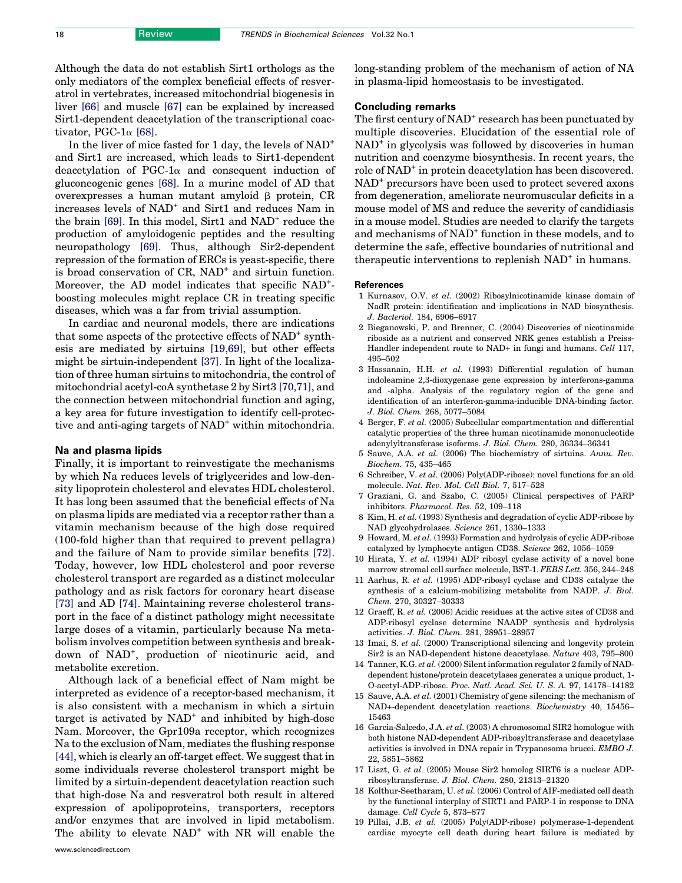<span id="page-6-0"></span>Although the data do not establish Sirt1 orthologs as the only mediators of the complex beneficial effects of resveratrol in vertebrates, increased mitochondrial biogenesis in liver [\[66\]](#page-7-0) and muscle [\[67\]](#page-7-0) can be explained by increased Sirt1-dependent deacetylation of the transcriptional coactivator, PGC-1 $\alpha$  [\[68\].](#page-7-0)

In the liver of mice fasted for 1 day, the levels of NAD<sup>+</sup> and Sirt1 are increased, which leads to Sirt1-dependent deacetylation of PGC-1 $\alpha$  and consequent induction of gluconeogenic genes [\[68\].](#page-7-0) In a murine model of AD that overexpresses a human mutant amyloid  $\beta$  protein, CR increases levels of NAD<sup>+</sup> and Sirt1 and reduces Nam in the brain  $[69]$ . In this model, Sirt1 and NAD<sup>+</sup> reduce the production of amyloidogenic peptides and the resulting neuropathology [\[69\]](#page-7-0). Thus, although Sir2-dependent repression of the formation of ERCs is yeast-specific, there is broad conservation of  $CR$ ,  $NAD<sup>+</sup>$  and sirtuin function. Moreover, the AD model indicates that specific NAD<sup>+</sup>boosting molecules might replace CR in treating specific diseases, which was a far from trivial assumption.

In cardiac and neuronal models, there are indications that some aspects of the protective effects of NAD<sup>+</sup> synthesis are mediated by sirtuins [19,69], but other effects might be sirtuin-independent [\[37\].](#page-7-0) In light of the localization of three human sirtuins to mitochondria, the control of mitochondrial acetyl-coA synthetase 2 by Sirt3 [\[70,71\],](#page-7-0) and the connection between mitochondrial function and aging, a key area for future investigation to identify cell-protective and anti-aging targets of NAD<sup>+</sup> within mitochondria.

#### Na and plasma lipids

Finally, it is important to reinvestigate the mechanisms by which Na reduces levels of triglycerides and low-density lipoprotein cholesterol and elevates HDL cholesterol. It has long been assumed that the beneficial effects of Na on plasma lipids are mediated via a receptor rather than a vitamin mechanism because of the high dose required (100-fold higher than that required to prevent pellagra) and the failure of Nam to provide similar benefits [\[72\]](#page-7-0). Today, however, low HDL cholesterol and poor reverse cholesterol transport are regarded as a distinct molecular pathology and as risk factors for coronary heart disease [\[73\]](#page-7-0) and AD [\[74\].](#page-7-0) Maintaining reverse cholesterol transport in the face of a distinct pathology might necessitate large doses of a vitamin, particularly because Na metabolism involves competition between synthesis and breakdown of NAD<sup>+</sup> , production of nicotinuric acid, and metabolite excretion.

Although lack of a beneficial effect of Nam might be interpreted as evidence of a receptor-based mechanism, it is also consistent with a mechanism in which a sirtuin target is activated by  $NAD<sup>+</sup>$  and inhibited by high-dose Nam. Moreover, the Gpr109a receptor, which recognizes Na to the exclusion of Nam, mediates the flushing response [\[44\]](#page-7-0), which is clearly an off-target effect. We suggest that in some individuals reverse cholesterol transport might be limited by a sirtuin-dependent deacetylation reaction such that high-dose Na and resveratrol both result in altered expression of apolipoproteins, transporters, receptors and/or enzymes that are involved in lipid metabolism. The ability to elevate NAD<sup>+</sup> with NR will enable the long-standing problem of the mechanism of action of NA in plasma-lipid homeostasis to be investigated.

### Concluding remarks

The first century of  $NAD<sup>+</sup>$  research has been punctuated by multiple discoveries. Elucidation of the essential role of NAD<sup>+</sup> in glycolysis was followed by discoveries in human nutrition and coenzyme biosynthesis. In recent years, the role of NAD<sup>+</sup> in protein deacetylation has been discovered. NAD<sup>+</sup> precursors have been used to protect severed axons from degeneration, ameliorate neuromuscular deficits in a mouse model of MS and reduce the severity of candidiasis in a mouse model. Studies are needed to clarify the targets and mechanisms of NAD<sup>+</sup> function in these models, and to determine the safe, effective boundaries of nutritional and therapeutic interventions to replenish NAD<sup>+</sup> in humans.

#### **References**

- 1 Kurnasov, O.V. et al. (2002) Ribosylnicotinamide kinase domain of NadR protein: identification and implications in NAD biosynthesis. J. Bacteriol. 184, 6906–6917
- 2 Bieganowski, P. and Brenner, C. (2004) Discoveries of nicotinamide riboside as a nutrient and conserved NRK genes establish a Preiss-Handler independent route to NAD+ in fungi and humans. Cell 117, 495–502
- 3 Hassanain, H.H. et al. (1993) Differential regulation of human indoleamine 2,3-dioxygenase gene expression by interferons-gamma and -alpha. Analysis of the regulatory region of the gene and identification of an interferon-gamma-inducible DNA-binding factor. J. Biol. Chem. 268, 5077–5084
- 4 Berger, F. et al. (2005) Subcellular compartmentation and differential catalytic properties of the three human nicotinamide mononucleotide adenylyltransferase isoforms. J. Biol. Chem. 280, 36334–36341
- 5 Sauve, A.A. et al. (2006) The biochemistry of sirtuins. Annu. Rev. Biochem. 75, 435–465
- 6 Schreiber, V. et al. (2006) Poly(ADP-ribose): novel functions for an old molecule. Nat. Rev. Mol. Cell Biol. 7, 517–528
- 7 Graziani, G. and Szabo, C. (2005) Clinical perspectives of PARP inhibitors. Pharmacol. Res. 52, 109–118
- 8 Kim, H. et al. (1993) Synthesis and degradation of cyclic ADP-ribose by NAD glycohydrolases. Science 261, 1330–1333
- 9 Howard, M. et al. (1993) Formation and hydrolysis of cyclic ADP-ribose catalyzed by lymphocyte antigen CD38. Science 262, 1056–1059
- 10 Hirata, Y. et al. (1994) ADP ribosyl cyclase activity of a novel bone marrow stromal cell surface molecule, BST-1. FEBS Lett. 356, 244–248
- 11 Aarhus, R. et al. (1995) ADP-ribosyl cyclase and CD38 catalyze the synthesis of a calcium-mobilizing metabolite from NADP. J. Biol. Chem. 270, 30327–30333
- 12 Graeff, R. et al. (2006) Acidic residues at the active sites of CD38 and ADP-ribosyl cyclase determine NAADP synthesis and hydrolysis activities. J. Biol. Chem. 281, 28951–28957
- 13 Imai, S. et al. (2000) Transcriptional silencing and longevity protein Sir2 is an NAD-dependent histone deacetylase. Nature 403, 795–800
- 14 Tanner, K.G. et al. (2000) Silent information regulator 2 family of NADdependent histone/protein deacetylases generates a unique product, 1- O-acetyl-ADP-ribose. Proc. Natl. Acad. Sci. U. S. A. 97, 14178–14182
- 15 Sauve, A.A. et al. (2001) Chemistry of gene silencing: the mechanism of NAD+-dependent deacetylation reactions. Biochemistry 40, 15456– 15463
- 16 Garcia-Salcedo, J.A. et al. (2003) A chromosomal SIR2 homologue with both histone NAD-dependent ADP-ribosyltransferase and deacetylase activities is involved in DNA repair in Trypanosoma brucei. EMBO J. 22, 5851–5862
- 17 Liszt, G. et al. (2005) Mouse Sir2 homolog SIRT6 is a nuclear ADPribosyltransferase. J. Biol. Chem. 280, 21313–21320
- 18 Kolthur-Seetharam, U. et al. (2006) Control of AIF-mediated cell death by the functional interplay of SIRT1 and PARP-1 in response to DNA damage. Cell Cycle 5, 873–877
- 19 Pillai, J.B. et al. (2005) Poly(ADP-ribose) polymerase-1-dependent cardiac myocyte cell death during heart failure is mediated by